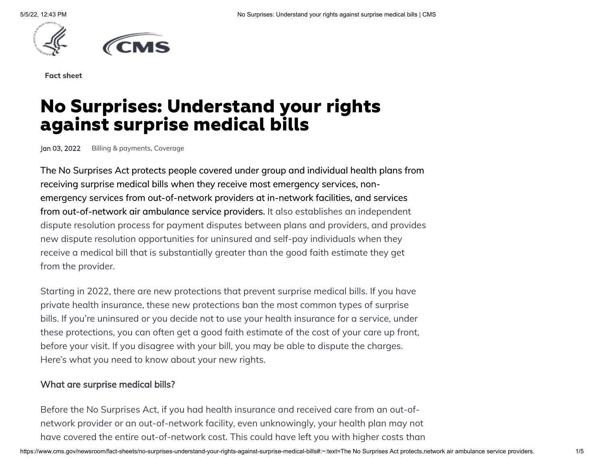



**Fact sheet**

# **No Surprises: Understand your rights against surprise medical bills**

Jan 03, 2022 [Billing & payments,](https://www.cms.gov/newsroom/search?search_api_language=en&sort_by=field_date&sort_order=DESC&items_per_page=10&f%5B0%5D=topic%3A436) [Coverage](https://www.cms.gov/newsroom/search?search_api_language=en&sort_by=field_date&sort_order=DESC&items_per_page=10&f%5B0%5D=topic%3A176)

The No Surprises Act protects people covered under group and individual health plans from receiving surprise medical bills when they receive most emergency services, nonemergency services from out-of-network providers at in-network facilities, and services from out-of-network air ambulance service providers. It also establishes an independent dispute resolution process for payment disputes between plans and providers, and provides new dispute resolution opportunities for uninsured and self-pay individuals when they receive a medical bill that is substantially greater than the good faith estimate they get from the provider.

Starting in 2022, there are new protections that prevent surprise medical bills. If you have private health insurance, these new protections ban the most common types of surprise bills. If you're uninsured or you decide not to use your health insurance for a service, under these protections, you can often get a good faith estimate of the cost of your care up front, before your visit. If you disagree with your bill, you may be able to dispute the charges. Here's what you need to know about your new rights.

#### What are surprise medical bills?

Before the No Surprises Act, if you had health insurance and received care from an out-ofnetwork provider or an out-of-network facility, even unknowingly, your health plan may not have covered the entire out-of-network cost. This could have left you with higher costs than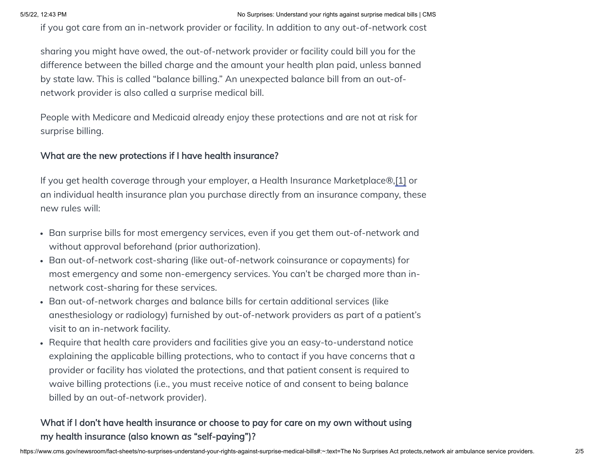if you got care from an in-network provider or facility. In addition to any out-of-network cost

sharing you might have owed, the out-of-network provider or facility could bill you for the difference between the billed charge and the amount your health plan paid, unless banned by state law. This is called "balance billing." An unexpected balance bill from an out-ofnetwork provider is also called a surprise medical bill.

People with Medicare and Medicaid already enjoy these protections and are not at risk for surprise billing.

#### What are the new protections if I have health insurance?

If you get health coverage through your employer, a Health Insurance Marketplace®,[1] or an individual health insurance plan you purchase directly from an insurance company, these new rules will:

- Ban surprise bills for most emergency services, even if you get them out-of-network and without approval beforehand (prior authorization).
- Ban out-of-network cost-sharing (like out-of-network coinsurance or copayments) for most emergency and some non-emergency services. You can't be charged more than innetwork cost-sharing for these services.
- Ban out-of-network charges and balance bills for certain additional services (like anesthesiology or radiology) furnished by out-of-network providers as part of a patient's visit to an in-network facility.
- Require that health care providers and facilities give you an easy-to-understand notice explaining the applicable billing protections, who to contact if you have concerns that a provider or facility has violated the protections, and that patient consent is required to waive billing protections (i.e., you must receive notice of and consent to being balance billed by an out-of-network provider).

## What if I don't have health insurance or choose to pay for care on my own without using my health insurance (also known as "self-paying")?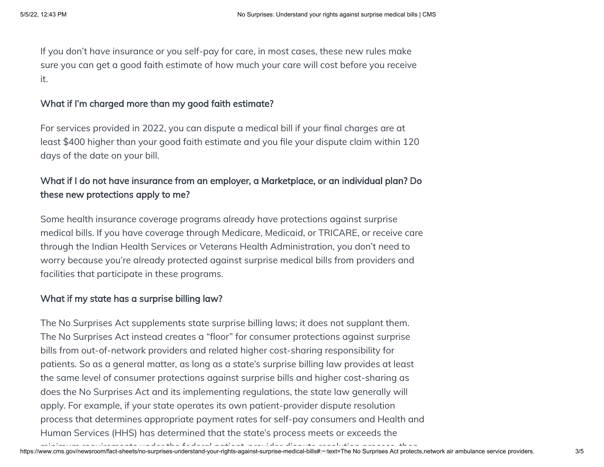If you don't have insurance or you self-pay for care, in most cases, these new rules make sure you can get a good faith estimate of how much your care will cost before you receive it.

#### What if I'm charged more than my good faith estimate?

For services provided in 2022, you can dispute a medical bill if your final charges are at least \$400 higher than your good faith estimate and you file your dispute claim within 120 days of the date on your bill.

## What if I do not have insurance from an employer, a Marketplace, or an individual plan? Do these new protections apply to me?

Some health insurance coverage programs already have protections against surprise medical bills. If you have coverage through Medicare, Medicaid, or TRICARE, or receive care through the Indian Health Services or Veterans Health Administration, you don't need to worry because you're already protected against surprise medical bills from providers and facilities that participate in these programs.

### What if my state has a surprise billing law?

The No Surprises Act supplements state surprise billing laws; it does not supplant them. The No Surprises Act instead creates a "floor" for consumer protections against surprise bills from out-of-network providers and related higher cost-sharing responsibility for patients. So as a general matter, as long as a state's surprise billing law provides at least the same level of consumer protections against surprise bills and higher cost-sharing as does the No Surprises Act and its implementing regulations, the state law generally will apply. For example, if your state operates its own patient-provider dispute resolution process that determines appropriate payment rates for self-pay consumers and Health and Human Services (HHS) has determined that the state's process meets or exceeds the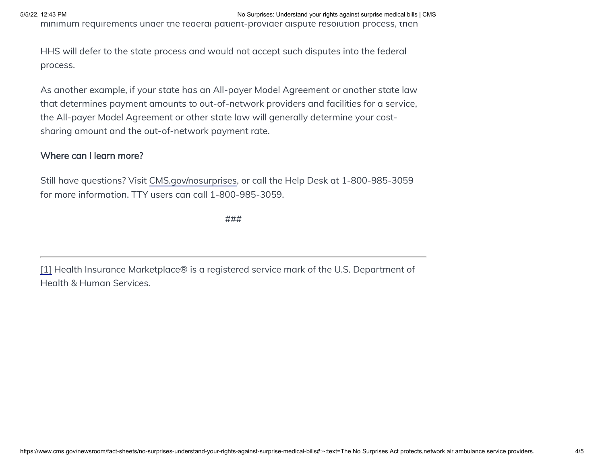minimum requirements under the federal patient-provider dispute resolution process, then

HHS will defer to the state process and would not accept such disputes into the federal process.

As another example, if your state has an All-payer Model Agreement or another state law that determines payment amounts to out-of-network providers and facilities for a service, the All-payer Model Agreement or other state law will generally determine your costsharing amount and the out-of-network payment rate.

#### Where can I learn more?

Still have questions? Visit [CMS.gov/nosurprises](https://www.cms.gov/nosurprises), or call the Help Desk at 1-800-985-3059 for more information. TTY users can call 1-800-985-3059.

###

[1] Health Insurance Marketplace® is a registered service mark of the U.S. Department of Health & Human Services.